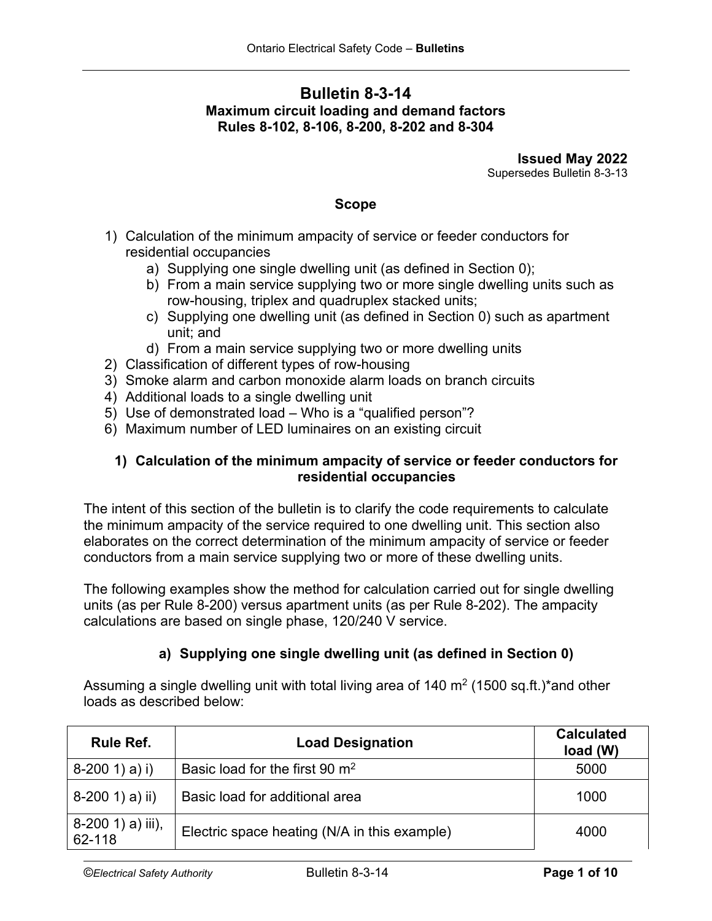# **Bulletin 8-3-14 Maximum circuit loading and demand factors Rules 8-102, 8-106, 8-200, 8-202 and 8-304**

**Issued May 2022** Supersedes Bulletin 8-3-13

#### **Scope**

- 1) Calculation of the minimum ampacity of service or feeder conductors for residential occupancies
	- a) Supplying one single dwelling unit (as defined in Section 0);
	- b) From a main service supplying two or more single dwelling units such as row-housing, triplex and quadruplex stacked units;
	- c) Supplying one dwelling unit (as defined in Section 0) such as apartment unit; and
	- d) From a main service supplying two or more dwelling units
- 2) Classification of different types of row-housing
- 3) Smoke alarm and carbon monoxide alarm loads on branch circuits
- 4) Additional loads to a single dwelling unit
- 5) Use of demonstrated load Who is a "qualified person"?
- 6) Maximum number of LED luminaires on an existing circuit

## **1) Calculation of the minimum ampacity of service or feeder conductors for residential occupancies**

The intent of this section of the bulletin is to clarify the code requirements to calculate the minimum ampacity of the service required to one dwelling unit. This section also elaborates on the correct determination of the minimum ampacity of service or feeder conductors from a main service supplying two or more of these dwelling units.

The following examples show the method for calculation carried out for single dwelling units (as per Rule 8-200) versus apartment units (as per Rule 8-202). The ampacity calculations are based on single phase, 120/240 V service.

## **a) Supplying one single dwelling unit (as defined in Section 0)**

Assuming a single dwelling unit with total living area of 140  $\mathrm{m}^2$  (1500 sq.ft.)\*and other loads as described below:

| Rule Ref.                     | <b>Load Designation</b>                      | <b>Calculated</b><br>load (W) |
|-------------------------------|----------------------------------------------|-------------------------------|
| $8-200$ 1) a) i)              | Basic load for the first 90 m <sup>2</sup>   | 5000                          |
| $  8-200 1) a) ii)$           | Basic load for additional area               | 1000                          |
| $8-200$ 1) a) iii),<br>62-118 | Electric space heating (N/A in this example) | 4000                          |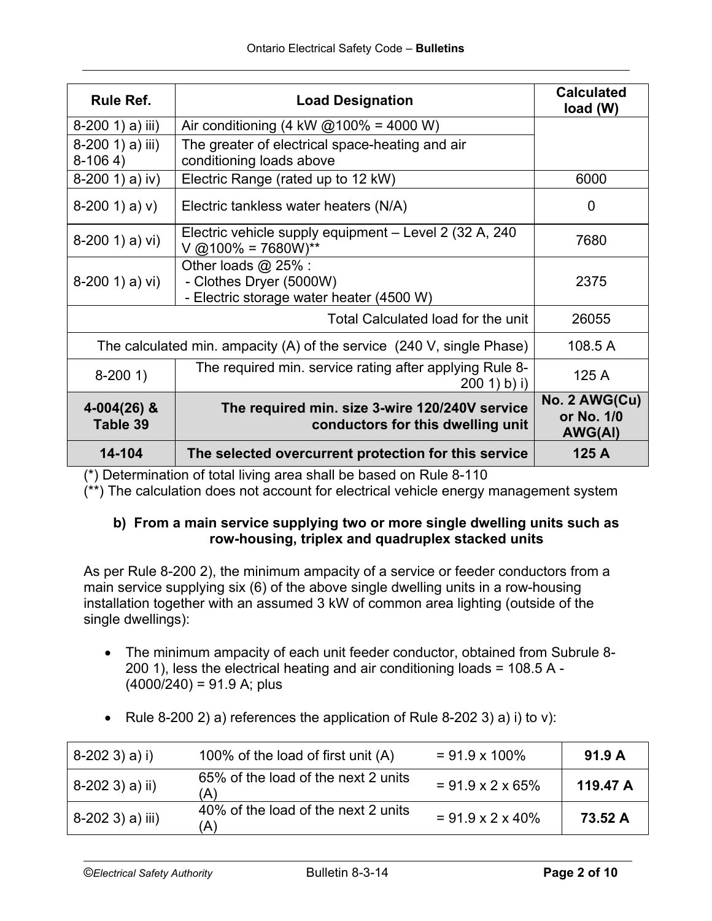| <b>Rule Ref.</b>                                                                         | <b>Load Designation</b>                                                                      | <b>Calculated</b><br>load (W)                 |
|------------------------------------------------------------------------------------------|----------------------------------------------------------------------------------------------|-----------------------------------------------|
| $8-200$ 1) a) iii)                                                                       | Air conditioning (4 kW $@100\% = 4000$ W)                                                    |                                               |
| 8-200 1) a) iii)<br>$8-1064$                                                             | The greater of electrical space-heating and air<br>conditioning loads above                  |                                               |
| $8-200$ 1) a) iv)                                                                        | Electric Range (rated up to 12 kW)                                                           | 6000                                          |
| $8-200$ 1) a) v)                                                                         | Electric tankless water heaters (N/A)                                                        | 0                                             |
| $8-200$ 1) a) vi)                                                                        | Electric vehicle supply equipment - Level 2 (32 A, 240)<br>$V$ @100% = 7680W)**              | 7680                                          |
| $8-200$ 1) a) vi)                                                                        | Other loads $@$ 25% :<br>- Clothes Dryer (5000W)<br>- Electric storage water heater (4500 W) | 2375                                          |
| Total Calculated load for the unit                                                       |                                                                                              | 26055                                         |
| The calculated min. ampacity $(A)$ of the service $(240 \text{ V}, \text{single Phase})$ |                                                                                              | 108.5A                                        |
| $8-2001$                                                                                 | The required min. service rating after applying Rule 8-<br>200 1) b) i)                      |                                               |
| $4 - 004(26)$ &<br>Table 39                                                              | The required min. size 3-wire 120/240V service<br>conductors for this dwelling unit          | No. 2 AWG(Cu)<br>or No. 1/0<br><b>AWG(AI)</b> |
| 14-104                                                                                   | The selected overcurrent protection for this service                                         | 125 A                                         |

(\*) Determination of total living area shall be based on Rule 8-110

(\*\*) The calculation does not account for electrical vehicle energy management system

## **b) From a main service supplying two or more single dwelling units such as row-housing, triplex and quadruplex stacked units**

As per Rule 8-200 2), the minimum ampacity of a service or feeder conductors from a main service supplying six (6) of the above single dwelling units in a row-housing installation together with an assumed 3 kW of common area lighting (outside of the single dwellings):

- The minimum ampacity of each unit feeder conductor, obtained from Subrule 8- 200 1), less the electrical heating and air conditioning loads = 108.5 A -  $(4000/240) = 91.9$  A; plus
- Rule 8-200 2) a) references the application of Rule 8-202 3) a) i) to v):

| $8-2023$ ) a) i) | 100% of the load of first unit (A)         | $= 91.9 \times 100\%$         | 91.9A    |
|------------------|--------------------------------------------|-------------------------------|----------|
| 8-202 3) a) ii)  | 65% of the load of the next 2 units<br>'A) | $= 91.9 \times 2 \times 65\%$ | 119.47 A |
| 8-202 3) a) iii) | 40% of the load of the next 2 units<br>'A) | $= 91.9 \times 2 \times 40\%$ | 73.52 A  |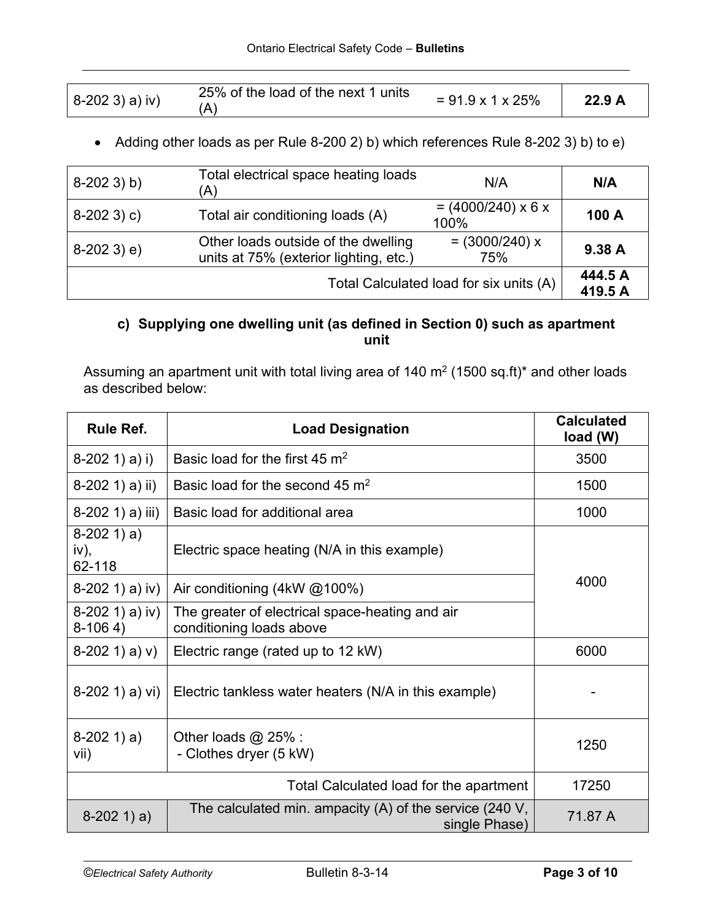| $8-2023$ ) a) iv) | 25% of the load of the next 1 units | $= 91.9 \times 1 \times 25\%$ | 22.9A |
|-------------------|-------------------------------------|-------------------------------|-------|

• Adding other loads as per Rule 8-200 2) b) which references Rule 8-202 3) b) to e)

| $8-2023$ ) b) | Total electrical space heating loads<br>'A)                                                              | N/A                                     | N/A                |
|---------------|----------------------------------------------------------------------------------------------------------|-----------------------------------------|--------------------|
| $8-2023$ ) c) | Total air conditioning loads (A)                                                                         | $= (4000/240) \times 6 \times$<br>100%  | 100 A              |
| $8-2023$ ) e) | $= (3000/240) x$<br>Other loads outside of the dwelling<br>units at 75% (exterior lighting, etc.)<br>75% |                                         | 9.38 A             |
|               |                                                                                                          | Total Calculated load for six units (A) | 444.5 A<br>419.5 A |

# **c) Supplying one dwelling unit (as defined in Section 0) such as apartment unit**

Assuming an apartment unit with total living area of 140  $m<sup>2</sup>$  (1500 sq.ft)\* and other loads as described below:

| <b>Rule Ref.</b>                                                           | <b>Load Designation</b>                                                     |         |
|----------------------------------------------------------------------------|-----------------------------------------------------------------------------|---------|
| $8-202$ 1) a) i)                                                           | Basic load for the first 45 $m2$                                            | 3500    |
| $8-202$ 1) a) ii)                                                          | Basic load for the second 45 m <sup>2</sup>                                 | 1500    |
| $8-202$ 1) a) iii)                                                         | Basic load for additional area                                              | 1000    |
| $8-2021) a)$<br>iv),<br>62-118                                             | Electric space heating (N/A in this example)                                |         |
| $8-202$ 1) a) iv)                                                          | Air conditioning $(4kW \,\omega/100\%)$                                     | 4000    |
| $8-202$ 1) a) iv)<br>$8-1064$                                              | The greater of electrical space-heating and air<br>conditioning loads above |         |
| $8-2021) a) v)$                                                            | Electric range (rated up to 12 kW)                                          |         |
| $8-202$ 1) a) vi)<br>Electric tankless water heaters (N/A in this example) |                                                                             |         |
| $8-2021$ ) a)<br>Other loads $@$ 25% :<br>- Clothes dryer (5 kW)<br>vii)   |                                                                             | 1250    |
|                                                                            | Total Calculated load for the apartment                                     | 17250   |
| $8-2021$ ) a)                                                              | The calculated min. ampacity $(A)$ of the service (240 V,<br>single Phase)  | 71.87 A |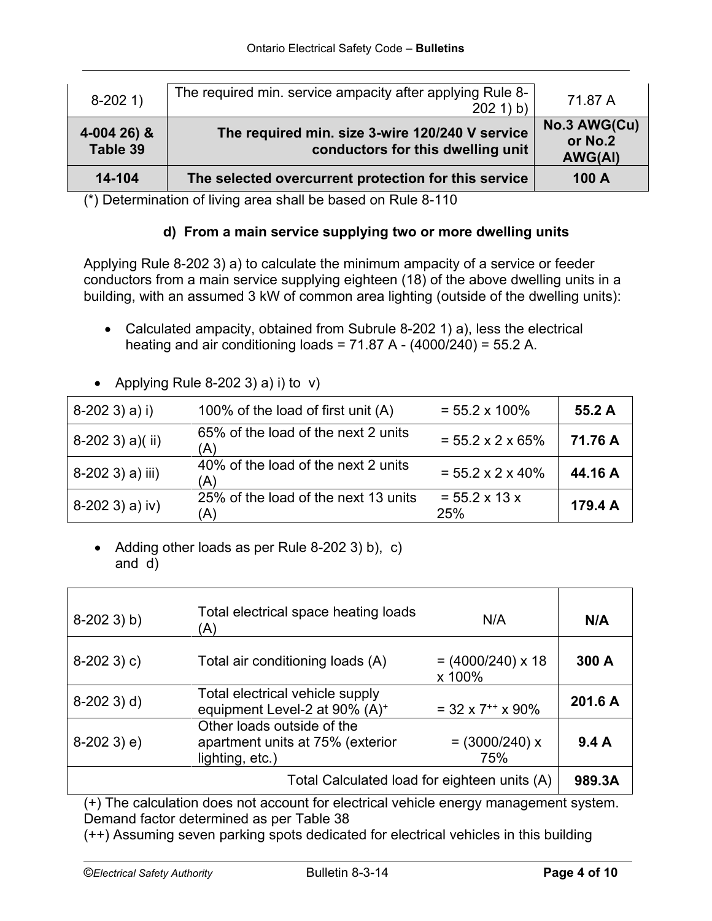| $8-2021$                | The required min. service ampacity after applying Rule 8-<br>$202 1$ ) b)            | 71.87 A                                   |
|-------------------------|--------------------------------------------------------------------------------------|-------------------------------------------|
| 4-004 26) &<br>Table 39 | The required min. size 3-wire 120/240 V service<br>conductors for this dwelling unit | No.3 AWG(Cu)<br>or No.2<br><b>AWG(AI)</b> |
| 14-104                  | The selected overcurrent protection for this service                                 | 100 A                                     |

(\*) Determination of living area shall be based on Rule 8-110

## **d) From a main service supplying two or more dwelling units**

Applying Rule 8-202 3) a) to calculate the minimum ampacity of a service or feeder conductors from a main service supplying eighteen (18) of the above dwelling units in a building, with an assumed 3 kW of common area lighting (outside of the dwelling units):

- Calculated ampacity, obtained from Subrule 8-202 1) a), less the electrical heating and air conditioning loads =  $71.87$  A -  $(4000/240)$  = 55.2 A.
- 8-202 3) a) i) 100% of the load of first unit (A)  $= 55.2 \times 100\%$  **55.2 A** 8-202 3) a)( ii) 65% of the load of the next 2 units  $(A)$ (A) = 55.2 x 2 x 65% **71.76 A** 8-202 3) a) iii)  $\frac{40\%}{(A)}$  of the load of the next 2 units  $= 55.2 \times 2 \times 40\%$  | 44.16 A  $8-202$  3) a) iv)  $25\%$  of the load of the next 13 units (A)  $= 55.2 \times 13 \times$  $25\%$  **179.4 A**
- Applying Rule 8-202 3) a) i) to  $v$ )

• Adding other loads as per Rule 8-202 3) b), c) and d)

| $8-2023$ ) b) | Total electrical space heating loads<br>(A)                                       | N/A                                | N/A     |
|---------------|-----------------------------------------------------------------------------------|------------------------------------|---------|
| $8-2023$ ) c) | Total air conditioning loads (A)                                                  | $= (4000/240) \times 18$<br>x 100% | 300 A   |
| $8-2023$ ) d) | Total electrical vehicle supply<br>equipment Level-2 at 90% (A) <sup>+</sup>      | $=$ 32 x 7 <sup>++</sup> x 90%     | 201.6 A |
| $8-2023$ ) e) | Other loads outside of the<br>apartment units at 75% (exterior<br>lighting, etc.) | $= (3000/240) x$<br>75%            | 9.4A    |
|               | Total Calculated load for eighteen units (A)                                      |                                    | 989.3A  |

(+) The calculation does not account for electrical vehicle energy management system. Demand factor determined as per Table 38

(++) Assuming seven parking spots dedicated for electrical vehicles in this building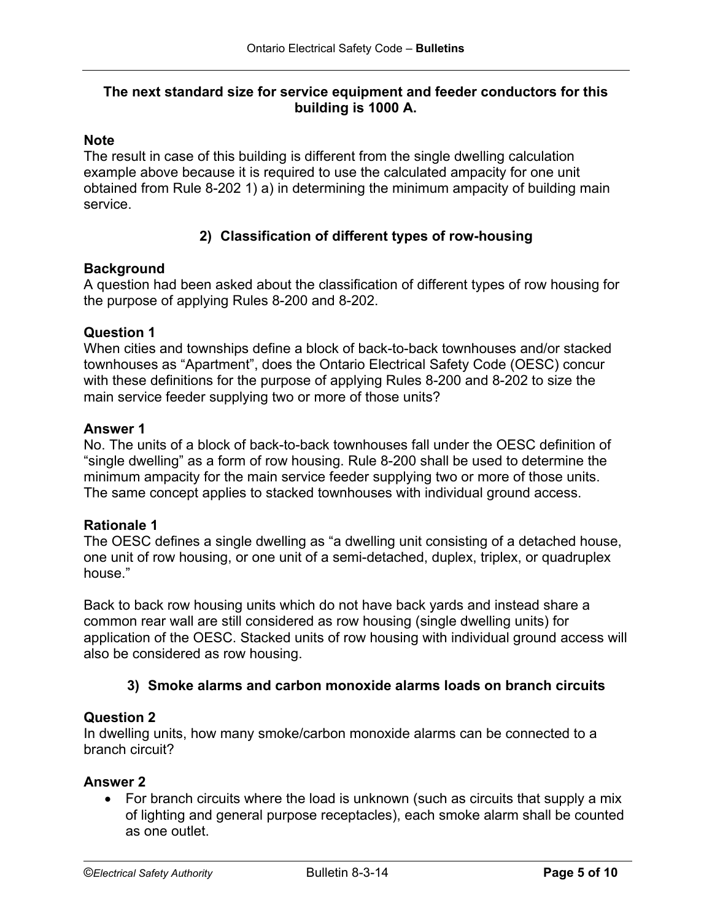## **The next standard size for service equipment and feeder conductors for this building is 1000 A.**

#### **Note**

The result in case of this building is different from the single dwelling calculation example above because it is required to use the calculated ampacity for one unit obtained from Rule 8-202 1) a) in determining the minimum ampacity of building main service.

## **2) Classification of different types of row-housing**

#### **Background**

A question had been asked about the classification of different types of row housing for the purpose of applying Rules 8-200 and 8-202.

#### **Question 1**

When cities and townships define a block of back-to-back townhouses and/or stacked townhouses as "Apartment", does the Ontario Electrical Safety Code (OESC) concur with these definitions for the purpose of applying Rules 8-200 and 8-202 to size the main service feeder supplying two or more of those units?

#### **Answer 1**

No. The units of a block of back-to-back townhouses fall under the OESC definition of "single dwelling" as a form of row housing. Rule 8-200 shall be used to determine the minimum ampacity for the main service feeder supplying two or more of those units. The same concept applies to stacked townhouses with individual ground access.

#### **Rationale 1**

The OESC defines a single dwelling as "a dwelling unit consisting of a detached house, one unit of row housing, or one unit of a semi-detached, duplex, triplex, or quadruplex house."

Back to back row housing units which do not have back yards and instead share a common rear wall are still considered as row housing (single dwelling units) for application of the OESC. Stacked units of row housing with individual ground access will also be considered as row housing.

#### **3) Smoke alarms and carbon monoxide alarms loads on branch circuits**

#### **Question 2**

In dwelling units, how many smoke/carbon monoxide alarms can be connected to a branch circuit?

#### **Answer 2**

• For branch circuits where the load is unknown (such as circuits that supply a mix of lighting and general purpose receptacles), each smoke alarm shall be counted as one outlet.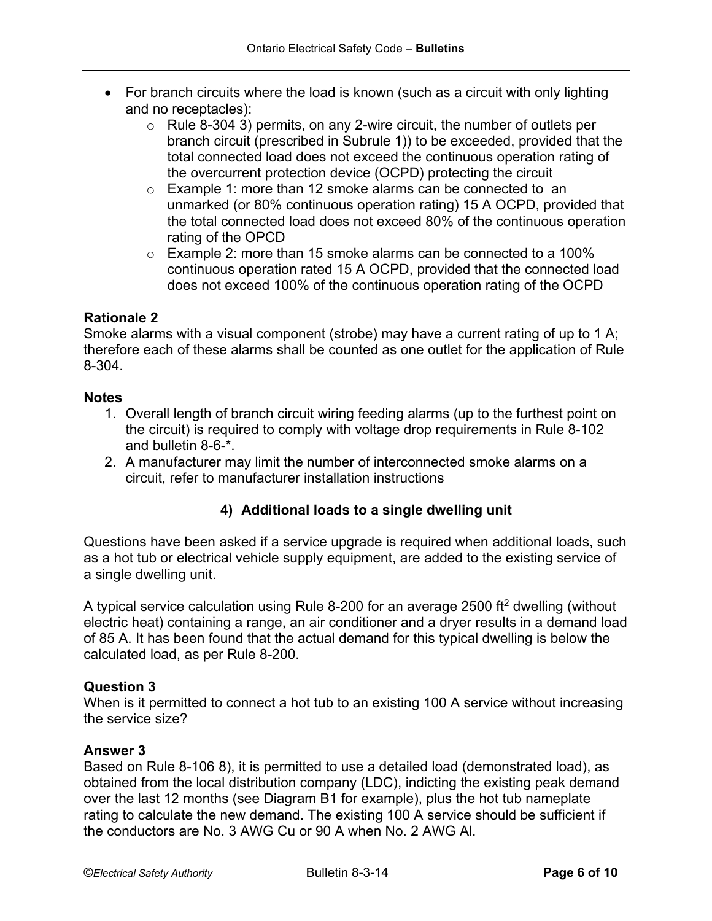- For branch circuits where the load is known (such as a circuit with only lighting and no receptacles):
	- $\circ$  Rule 8-304 3) permits, on any 2-wire circuit, the number of outlets per branch circuit (prescribed in Subrule 1)) to be exceeded, provided that the total connected load does not exceed the continuous operation rating of the overcurrent protection device (OCPD) protecting the circuit
	- o Example 1: more than 12 smoke alarms can be connected to an unmarked (or 80% continuous operation rating) 15 A OCPD, provided that the total connected load does not exceed 80% of the continuous operation rating of the OPCD
	- o Example 2: more than 15 smoke alarms can be connected to a 100% continuous operation rated 15 A OCPD, provided that the connected load does not exceed 100% of the continuous operation rating of the OCPD

## **Rationale 2**

Smoke alarms with a visual component (strobe) may have a current rating of up to 1 A; therefore each of these alarms shall be counted as one outlet for the application of Rule 8-304.

#### **Notes**

- 1. Overall length of branch circuit wiring feeding alarms (up to the furthest point on the circuit) is required to comply with voltage drop requirements in Rule 8-102 and bulletin 8-6-\*.
- 2. A manufacturer may limit the number of interconnected smoke alarms on a circuit, refer to manufacturer installation instructions

## **4) Additional loads to a single dwelling unit**

Questions have been asked if a service upgrade is required when additional loads, such as a hot tub or electrical vehicle supply equipment, are added to the existing service of a single dwelling unit.

A typical service calculation using Rule 8-200 for an average 2500 ft2 dwelling (without electric heat) containing a range, an air conditioner and a dryer results in a demand load of 85 A. It has been found that the actual demand for this typical dwelling is below the calculated load, as per Rule 8-200.

## **Question 3**

When is it permitted to connect a hot tub to an existing 100 A service without increasing the service size?

#### **Answer 3**

Based on Rule 8-106 8), it is permitted to use a detailed load (demonstrated load), as obtained from the local distribution company (LDC), indicting the existing peak demand over the last 12 months (see Diagram B1 for example), plus the hot tub nameplate rating to calculate the new demand. The existing 100 A service should be sufficient if the conductors are No. 3 AWG Cu or 90 A when No. 2 AWG Al.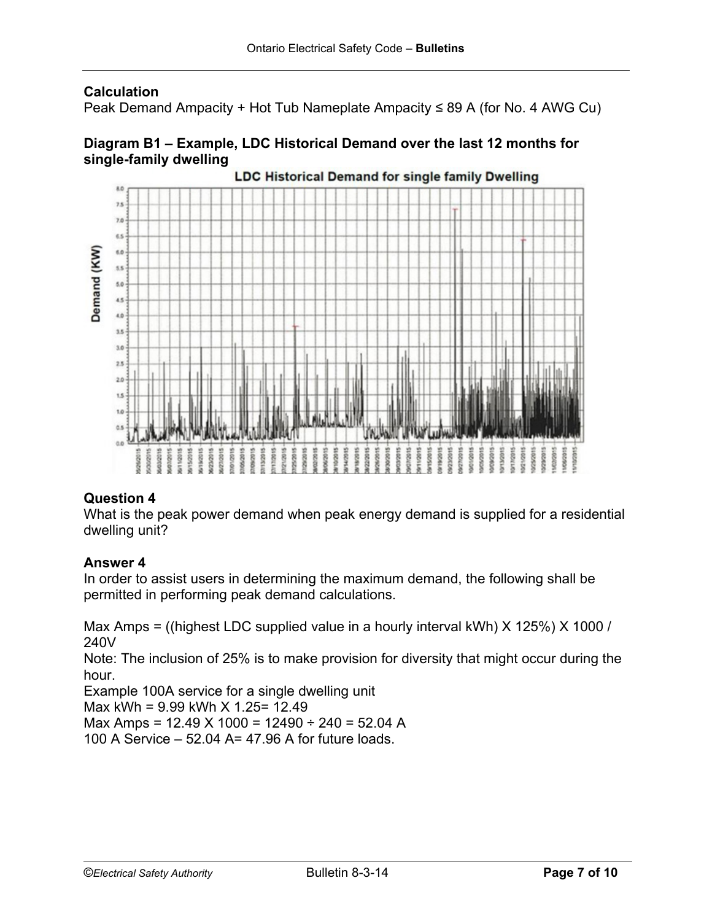## **Calculation**

Peak Demand Ampacity + Hot Tub Nameplate Ampacity ≤ 89 A (for No. 4 AWG Cu)

## **Diagram B1 – Example, LDC Historical Demand over the last 12 months for single-family dwelling**



# **Question 4**

What is the peak power demand when peak energy demand is supplied for a residential dwelling unit?

## **Answer 4**

In order to assist users in determining the maximum demand, the following shall be permitted in performing peak demand calculations.

Max Amps = ((highest LDC supplied value in a hourly interval kWh) X 125%) X 1000 / 240V

Note: The inclusion of 25% is to make provision for diversity that might occur during the hour.

Example 100A service for a single dwelling unit

Max kWh = 9.99 kWh X 1.25= 12.49

Max Amps = 12.49 X 1000 = 12490 ÷ 240 = 52.04 A

100 A Service – 52.04 A= 47.96 A for future loads.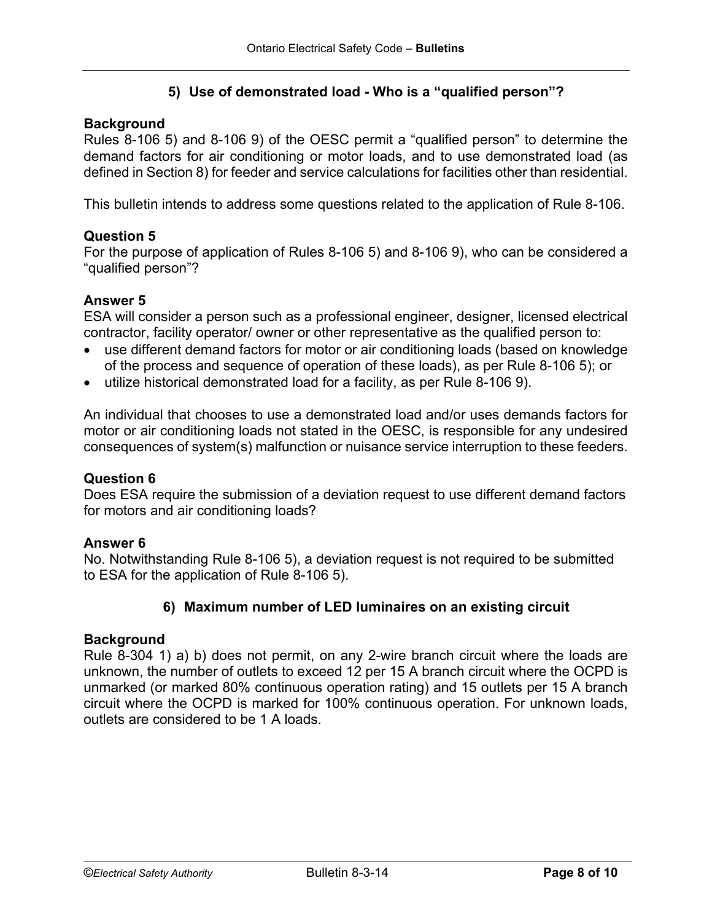## **5) Use of demonstrated load - Who is a "qualified person"?**

### **Background**

Rules 8-106 5) and 8-106 9) of the OESC permit a "qualified person" to determine the demand factors for air conditioning or motor loads, and to use demonstrated load (as defined in Section 8) for feeder and service calculations for facilities other than residential.

This bulletin intends to address some questions related to the application of Rule 8-106.

#### **Question 5**

For the purpose of application of Rules 8-106 5) and 8-106 9), who can be considered a "qualified person"?

#### **Answer 5**

ESA will consider a person such as a professional engineer, designer, licensed electrical contractor, facility operator/ owner or other representative as the qualified person to:

- use different demand factors for motor or air conditioning loads (based on knowledge of the process and sequence of operation of these loads), as per Rule 8-106 5); or
- utilize historical demonstrated load for a facility, as per Rule 8-106 9).

An individual that chooses to use a demonstrated load and/or uses demands factors for motor or air conditioning loads not stated in the OESC, is responsible for any undesired consequences of system(s) malfunction or nuisance service interruption to these feeders.

#### **Question 6**

Does ESA require the submission of a deviation request to use different demand factors for motors and air conditioning loads?

#### **Answer 6**

No. Notwithstanding Rule 8-106 5), a deviation request is not required to be submitted to ESA for the application of Rule 8-106 5).

#### **6) Maximum number of LED luminaires on an existing circuit**

#### **Background**

Rule 8-304 1) a) b) does not permit, on any 2-wire branch circuit where the loads are unknown, the number of outlets to exceed 12 per 15 A branch circuit where the OCPD is unmarked (or marked 80% continuous operation rating) and 15 outlets per 15 A branch circuit where the OCPD is marked for 100% continuous operation. For unknown loads, outlets are considered to be 1 A loads.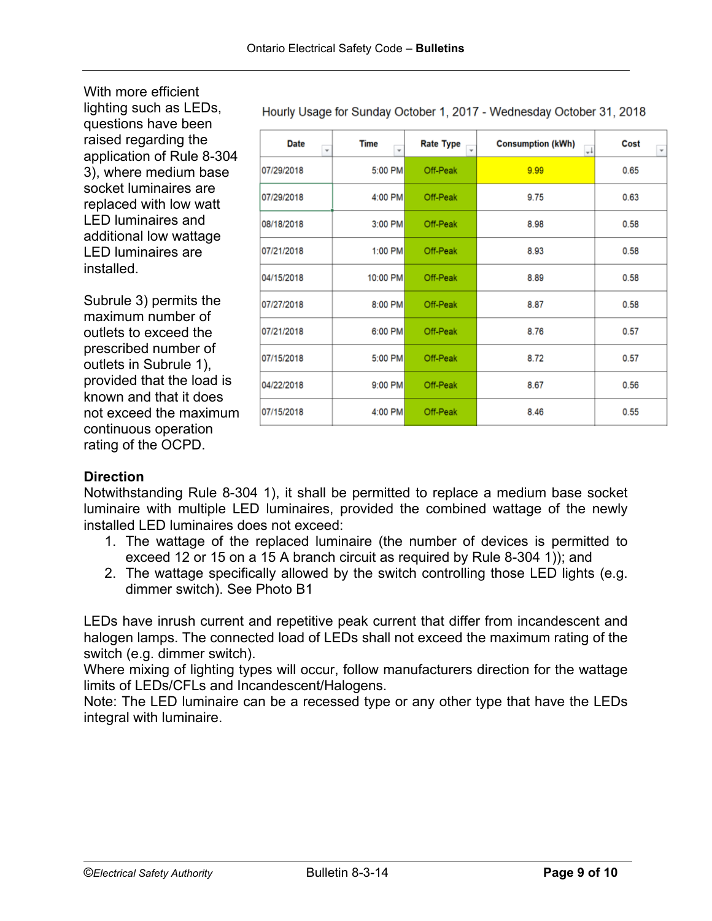With more efficient lighting such as LEDs, questions have been raised regarding the application of Rule 8-304 3), where medium base socket luminaires are replaced with low watt LED luminaires and additional low wattage LED luminaires are installed.

Subrule 3) permits the maximum number of outlets to exceed the prescribed number of outlets in Subrule 1), provided that the load is known and that it does not exceed the maximum continuous operation rating of the OCPD.

| <b>Date</b><br>$\overline{\mathbf{v}}$ | <b>Time</b><br>÷ | <b>Rate Type</b><br>$\checkmark$ | <b>Consumption (kWh)</b><br>$+1$ | Cost |
|----------------------------------------|------------------|----------------------------------|----------------------------------|------|
| 07/29/2018                             | 5:00 PM          | Off-Peak                         | 9.99                             | 0.65 |
| 07/29/2018                             | 4:00 PM          | Off-Peak                         | 9.75                             | 0.63 |
| 08/18/2018                             | 3:00 PM          | Off-Peak                         | 8.98                             | 0.58 |
| 07/21/2018                             | 1:00 PM          | Off-Peak                         | 8.93                             | 0.58 |
| 04/15/2018                             | 10:00 PM         | Off-Peak                         | 8.89                             | 0.58 |
| 07/27/2018                             | 8:00 PM          | Off-Peak                         | 8.87                             | 0.58 |
| 07/21/2018                             | 6:00 PM          | Off-Peak                         | 8.76                             | 0.57 |
| 07/15/2018                             | 5:00 PM          | Off-Peak                         | 8.72                             | 0.57 |
| 04/22/2018                             | 9:00 PM          | Off-Peak                         | 8.67                             | 0.56 |
| 07/15/2018                             | 4:00 PM          | Off-Peak                         | 8.46                             | 0.55 |

#### Hourly Usage for Sunday October 1, 2017 - Wednesday October 31, 2018

## **Direction**

Notwithstanding Rule 8-304 1), it shall be permitted to replace a medium base socket luminaire with multiple LED luminaires, provided the combined wattage of the newly installed LED luminaires does not exceed:

- 1. The wattage of the replaced luminaire (the number of devices is permitted to exceed 12 or 15 on a 15 A branch circuit as required by Rule 8-304 1)); and
- 2. The wattage specifically allowed by the switch controlling those LED lights (e.g. dimmer switch). See Photo B1

LEDs have inrush current and repetitive peak current that differ from incandescent and halogen lamps. The connected load of LEDs shall not exceed the maximum rating of the switch (e.g. dimmer switch).

Where mixing of lighting types will occur, follow manufacturers direction for the wattage limits of LEDs/CFLs and Incandescent/Halogens.

Note: The LED luminaire can be a recessed type or any other type that have the LEDs integral with luminaire.